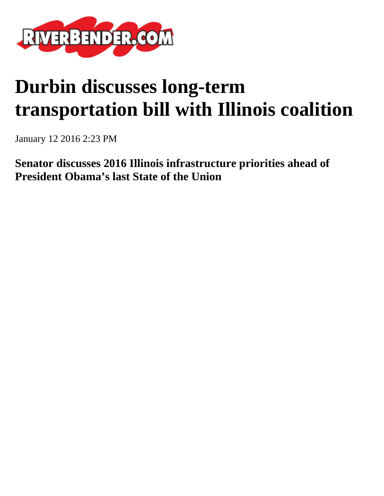

## **Durbin discusses long-term transportation bill with Illinois coalition**

January 12 2016 2:23 PM

**Senator discusses 2016 Illinois infrastructure priorities ahead of President Obama's last State of the Union**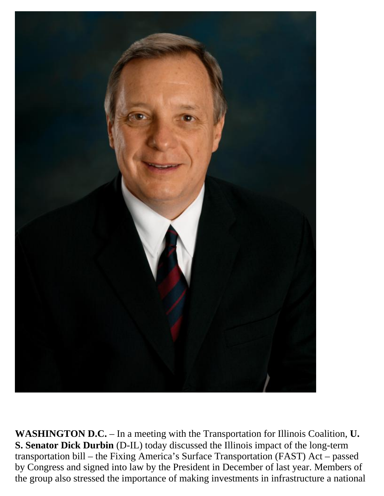

**WASHINGTON D.C.** – In a meeting with the Transportation for Illinois Coalition, **U. S. Senator Dick Durbin** (D-IL) today discussed the Illinois impact of the long-term transportation bill – the Fixing America's Surface Transportation (FAST) Act – passed by Congress and signed into law by the President in December of last year. Members of the group also stressed the importance of making investments in infrastructure a national